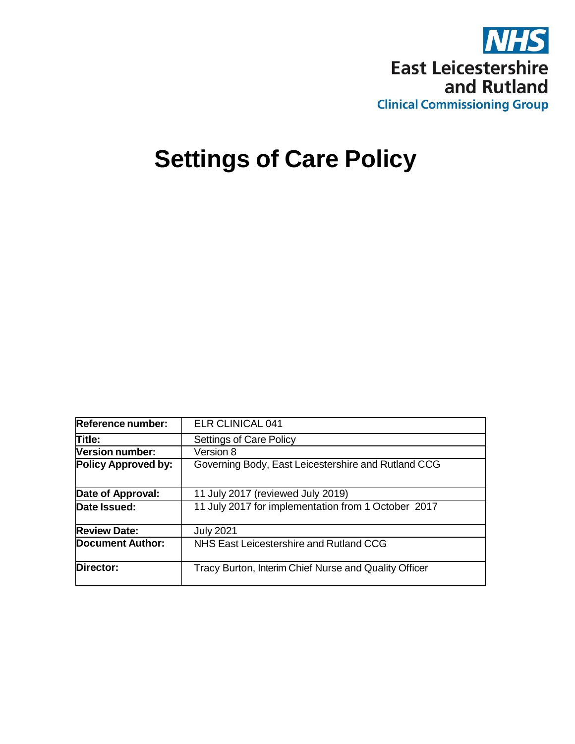

# **Settings of Care Policy**

| Reference number:          | <b>ELR CLINICAL 041</b>                               |
|----------------------------|-------------------------------------------------------|
| Title:                     | <b>Settings of Care Policy</b>                        |
| Version number:            | Version 8                                             |
| <b>Policy Approved by:</b> | Governing Body, East Leicestershire and Rutland CCG   |
| Date of Approval:          | 11 July 2017 (reviewed July 2019)                     |
| Date Issued:               | 11 July 2017 for implementation from 1 October 2017   |
| <b>Review Date:</b>        | <b>July 2021</b>                                      |
| Document Author:           | NHS East Leicestershire and Rutland CCG               |
| Director:                  | Tracy Burton, Interim Chief Nurse and Quality Officer |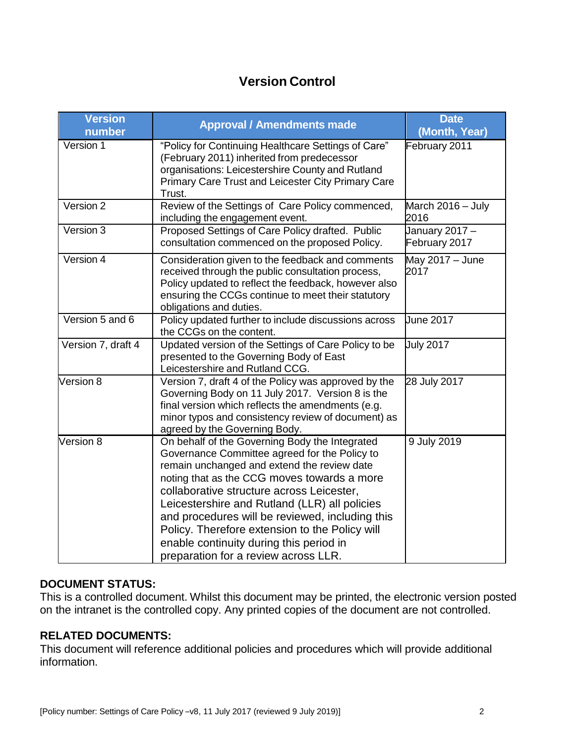# **Version Control**

| <b>Version</b><br>number | <b>Approval / Amendments made</b>                                                                                                                                                                                                                                                                                                                                                                                                                                                   | <b>Date</b><br>(Month, Year)    |
|--------------------------|-------------------------------------------------------------------------------------------------------------------------------------------------------------------------------------------------------------------------------------------------------------------------------------------------------------------------------------------------------------------------------------------------------------------------------------------------------------------------------------|---------------------------------|
| Version 1                | "Policy for Continuing Healthcare Settings of Care"<br>(February 2011) inherited from predecessor<br>organisations: Leicestershire County and Rutland<br>Primary Care Trust and Leicester City Primary Care<br>Trust.                                                                                                                                                                                                                                                               | February 2011                   |
| Version 2                | Review of the Settings of Care Policy commenced,<br>including the engagement event.                                                                                                                                                                                                                                                                                                                                                                                                 | March 2016 - July<br>2016       |
| Version 3                | Proposed Settings of Care Policy drafted. Public<br>consultation commenced on the proposed Policy.                                                                                                                                                                                                                                                                                                                                                                                  | January 2017 -<br>February 2017 |
| Version 4                | Consideration given to the feedback and comments<br>received through the public consultation process,<br>Policy updated to reflect the feedback, however also<br>ensuring the CCGs continue to meet their statutory<br>obligations and duties.                                                                                                                                                                                                                                      | May 2017 - June<br>2017         |
| Version 5 and 6          | Policy updated further to include discussions across<br>the CCGs on the content.                                                                                                                                                                                                                                                                                                                                                                                                    | <b>June 2017</b>                |
| Version 7, draft 4       | Updated version of the Settings of Care Policy to be<br>presented to the Governing Body of East<br>Leicestershire and Rutland CCG.                                                                                                                                                                                                                                                                                                                                                  | <b>July 2017</b>                |
| Version 8                | Version 7, draft 4 of the Policy was approved by the<br>Governing Body on 11 July 2017. Version 8 is the<br>final version which reflects the amendments (e.g.<br>minor typos and consistency review of document) as<br>agreed by the Governing Body.                                                                                                                                                                                                                                | 28 July 2017                    |
| Version 8                | On behalf of the Governing Body the Integrated<br>Governance Committee agreed for the Policy to<br>remain unchanged and extend the review date<br>noting that as the CCG moves towards a more<br>collaborative structure across Leicester,<br>Leicestershire and Rutland (LLR) all policies<br>and procedures will be reviewed, including this<br>Policy. Therefore extension to the Policy will<br>enable continuity during this period in<br>preparation for a review across LLR. | 9 July 2019                     |

#### **DOCUMENT STATUS:**

This is a controlled document. Whilst this document may be printed, the electronic version posted on the intranet is the controlled copy. Any printed copies of the document are not controlled.

#### **RELATED DOCUMENTS:**

This document will reference additional policies and procedures which will provide additional information.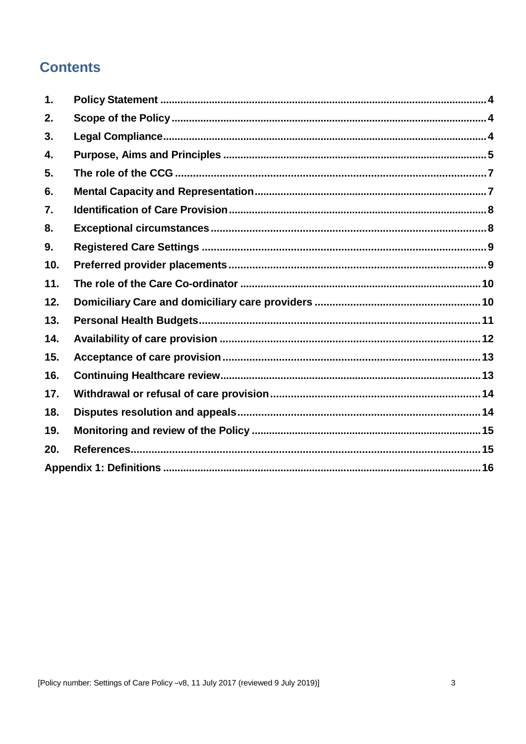# **Contents**

| $\mathbf 1$ . |  |
|---------------|--|
| 2.            |  |
| 3.            |  |
| 4.            |  |
| 5.            |  |
| 6.            |  |
| 7.            |  |
| 8.            |  |
| 9.            |  |
| 10.           |  |
| 11.           |  |
| 12.           |  |
| 13.           |  |
| 14.           |  |
| 15.           |  |
| 16.           |  |
| 17.           |  |
| 18.           |  |
| 19.           |  |
| 20.           |  |
|               |  |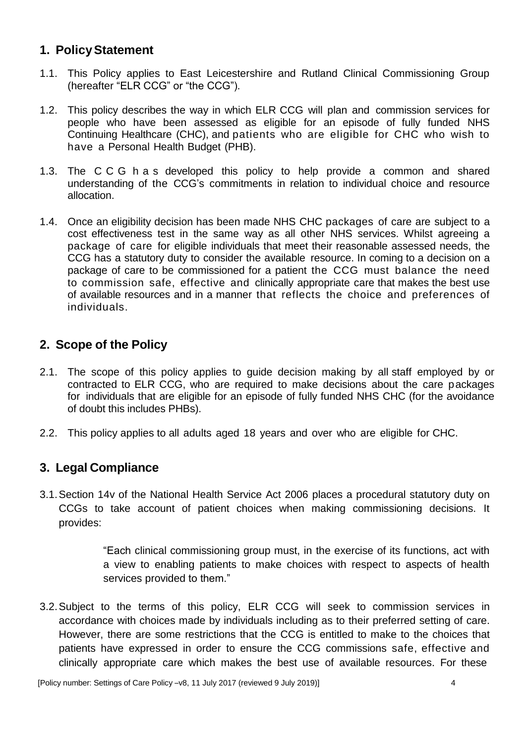# <span id="page-3-0"></span>**1. PolicyStatement**

- 1.1. This Policy applies to East Leicestershire and Rutland Clinical Commissioning Group (hereafter "ELR CCG" or "the CCG").
- 1.2. This policy describes the way in which ELR CCG will plan and commission services for people who have been assessed as eligible for an episode of fully funded NHS Continuing Healthcare (CHC), and patients who are eligible for CHC who wish to have a Personal Health Budget (PHB).
- 1.3. The C C G h a s developed this policy to help provide a common and shared understanding of the CCG's commitments in relation to individual choice and resource allocation.
- 1.4. Once an eligibility decision has been made NHS CHC packages of care are subject to a cost effectiveness test in the same way as all other NHS services. Whilst agreeing a package of care for eligible individuals that meet their reasonable assessed needs, the CCG has a statutory duty to consider the available resource. In coming to a decision on a package of care to be commissioned for a patient the CCG must balance the need to commission safe, effective and clinically appropriate care that makes the best use of available resources and in a manner that reflects the choice and preferences of individuals.

# <span id="page-3-1"></span>**2. Scope of the Policy**

- 2.1. The scope of this policy applies to guide decision making by all staff employed by or contracted to ELR CCG, who are required to make decisions about the care packages for individuals that are eligible for an episode of fully funded NHS CHC (for the avoidance of doubt this includes PHBs).
- 2.2. This policy applies to all adults aged 18 years and over who are eligible for CHC.

#### <span id="page-3-2"></span>**3. Legal Compliance**

3.1.Section 14v of the National Health Service Act 2006 places a procedural statutory duty on CCGs to take account of patient choices when making commissioning decisions. It provides:

> "Each clinical commissioning group must, in the exercise of its functions, act with a view to enabling patients to make choices with respect to aspects of health services provided to them."

3.2.Subject to the terms of this policy, ELR CCG will seek to commission services in accordance with choices made by individuals including as to their preferred setting of care. However, there are some restrictions that the CCG is entitled to make to the choices that patients have expressed in order to ensure the CCG commissions safe, effective and clinically appropriate care which makes the best use of available resources. For these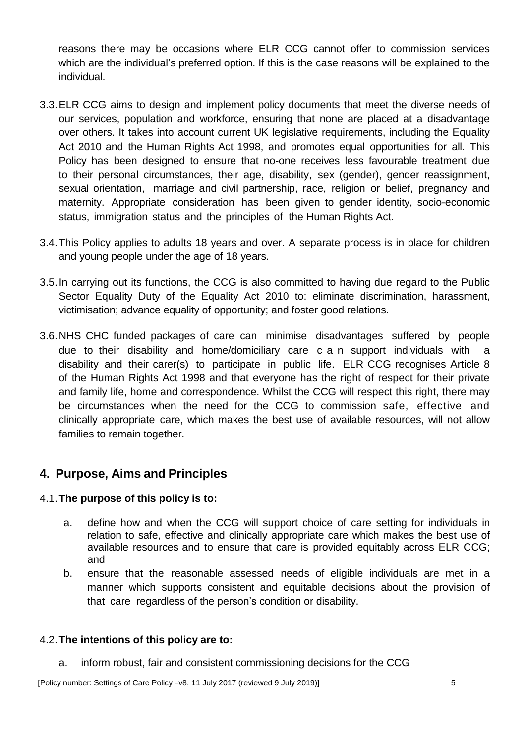reasons there may be occasions where ELR CCG cannot offer to commission services which are the individual's preferred option. If this is the case reasons will be explained to the individual.

- 3.3.ELR CCG aims to design and implement policy documents that meet the diverse needs of our services, population and workforce, ensuring that none are placed at a disadvantage over others. It takes into account current UK legislative requirements, including the Equality Act 2010 and the Human Rights Act 1998, and promotes equal opportunities for all. This Policy has been designed to ensure that no-one receives less favourable treatment due to their personal circumstances, their age, disability, sex (gender), gender reassignment, sexual orientation, marriage and civil partnership, race, religion or belief, pregnancy and maternity. Appropriate consideration has been given to gender identity, socio-economic status, immigration status and the principles of the Human Rights Act.
- 3.4.This Policy applies to adults 18 years and over. A separate process is in place for children and young people under the age of 18 years.
- 3.5.In carrying out its functions, the CCG is also committed to having due regard to the Public Sector Equality Duty of the Equality Act 2010 to: eliminate discrimination, harassment, victimisation; advance equality of opportunity; and foster good relations.
- 3.6.NHS CHC funded packages of care can minimise disadvantages suffered by people due to their disability and home/domiciliary care c a n support individuals with a disability and their carer(s) to participate in public life. ELR CCG recognises Article 8 of the Human Rights Act 1998 and that everyone has the right of respect for their private and family life, home and correspondence. Whilst the CCG will respect this right, there may be circumstances when the need for the CCG to commission safe, effective and clinically appropriate care, which makes the best use of available resources, will not allow families to remain together.

# <span id="page-4-0"></span>**4. Purpose, Aims and Principles**

#### 4.1.**The purpose of this policy is to:**

- a. define how and when the CCG will support choice of care setting for individuals in relation to safe, effective and clinically appropriate care which makes the best use of available resources and to ensure that care is provided equitably across ELR CCG; and
- b. ensure that the reasonable assessed needs of eligible individuals are met in a manner which supports consistent and equitable decisions about the provision of that care regardless of the person's condition or disability.

#### 4.2.**The intentions of this policy are to:**

a. inform robust, fair and consistent commissioning decisions for the CCG

[Policy number: Settings of Care Policy –v8, 11 July 2017 (reviewed 9 July 2019)] 5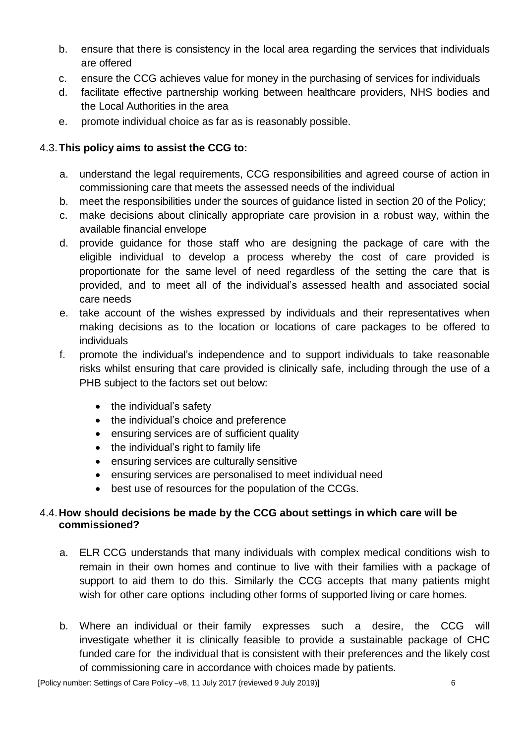- b. ensure that there is consistency in the local area regarding the services that individuals are offered
- c. ensure the CCG achieves value for money in the purchasing of services for individuals
- d. facilitate effective partnership working between healthcare providers, NHS bodies and the Local Authorities in the area
- e. promote individual choice as far as is reasonably possible.

#### 4.3.**This policy aims to assist the CCG to:**

- a. understand the legal requirements, CCG responsibilities and agreed course of action in commissioning care that meets the assessed needs of the individual
- b. meet the responsibilities under the sources of guidance listed in section 20 of the Policy;
- c. make decisions about clinically appropriate care provision in a robust way, within the available financial envelope
- d. provide guidance for those staff who are designing the package of care with the eligible individual to develop a process whereby the cost of care provided is proportionate for the same level of need regardless of the setting the care that is provided, and to meet all of the individual's assessed health and associated social care needs
- e. take account of the wishes expressed by individuals and their representatives when making decisions as to the location or locations of care packages to be offered to individuals
- f. promote the individual's independence and to support individuals to take reasonable risks whilst ensuring that care provided is clinically safe, including through the use of a PHB subject to the factors set out below:
	- the individual's safety
	- the individual's choice and preference
	- ensuring services are of sufficient quality
	- the individual's right to family life
	- ensuring services are culturally sensitive
	- ensuring services are personalised to meet individual need
	- best use of resources for the population of the CCGs.

#### 4.4.**How should decisions be made by the CCG about settings in which care will be commissioned?**

- a. ELR CCG understands that many individuals with complex medical conditions wish to remain in their own homes and continue to live with their families with a package of support to aid them to do this. Similarly the CCG accepts that many patients might wish for other care options including other forms of supported living or care homes.
- b. Where an individual or their family expresses such a desire, the CCG will investigate whether it is clinically feasible to provide a sustainable package of CHC funded care for the individual that is consistent with their preferences and the likely cost of commissioning care in accordance with choices made by patients.

[Policy number: Settings of Care Policy –v8, 11 July 2017 (reviewed 9 July 2019)] 6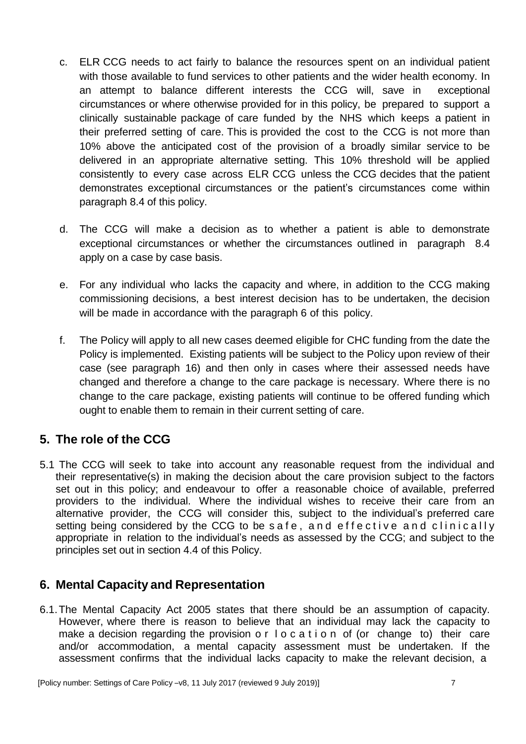- c. ELR CCG needs to act fairly to balance the resources spent on an individual patient with those available to fund services to other patients and the wider health economy. In an attempt to balance different interests the CCG will, save in exceptional circumstances or where otherwise provided for in this policy, be prepared to support a clinically sustainable package of care funded by the NHS which keeps a patient in their preferred setting of care. This is provided the cost to the CCG is not more than 10% above the anticipated cost of the provision of a broadly similar service to be delivered in an appropriate alternative setting. This 10% threshold will be applied consistently to every case across ELR CCG unless the CCG decides that the patient demonstrates exceptional circumstances or the patient's circumstances come within paragraph 8.4 of this policy.
- d. The CCG will make a decision as to whether a patient is able to demonstrate exceptional circumstances or whether the circumstances outlined in paragraph 8.4 apply on a case by case basis.
- e. For any individual who lacks the capacity and where, in addition to the CCG making commissioning decisions, a best interest decision has to be undertaken, the decision will be made in accordance with the paragraph 6 of this policy.
- f. The Policy will apply to all new cases deemed eligible for CHC funding from the date the Policy is implemented. Existing patients will be subject to the Policy upon review of their case (see paragraph 16) and then only in cases where their assessed needs have changed and therefore a change to the care package is necessary. Where there is no change to the care package, existing patients will continue to be offered funding which ought to enable them to remain in their current setting of care.

# <span id="page-6-0"></span>**5. The role of the CCG**

5.1 The CCG will seek to take into account any reasonable request from the individual and their representative(s) in making the decision about the care provision subject to the factors set out in this policy; and endeavour to offer a reasonable choice of available, preferred providers to the individual. Where the individual wishes to receive their care from an alternative provider, the CCG will consider this, subject to the individual's preferred care setting being considered by the CCG to be safe, and effective and clinically appropriate in relation to the individual's needs as assessed by the CCG; and subject to the principles set out in section 4.4 of this Policy.

# <span id="page-6-1"></span>**6. Mental Capacity and Representation**

6.1.The Mental Capacity Act 2005 states that there should be an assumption of capacity. However, where there is reason to believe that an individual may lack the capacity to make a decision regarding the provision o r l o c a t i o n of (or change to) their care and/or accommodation, a mental capacity assessment must be undertaken. If the assessment confirms that the individual lacks capacity to make the relevant decision, a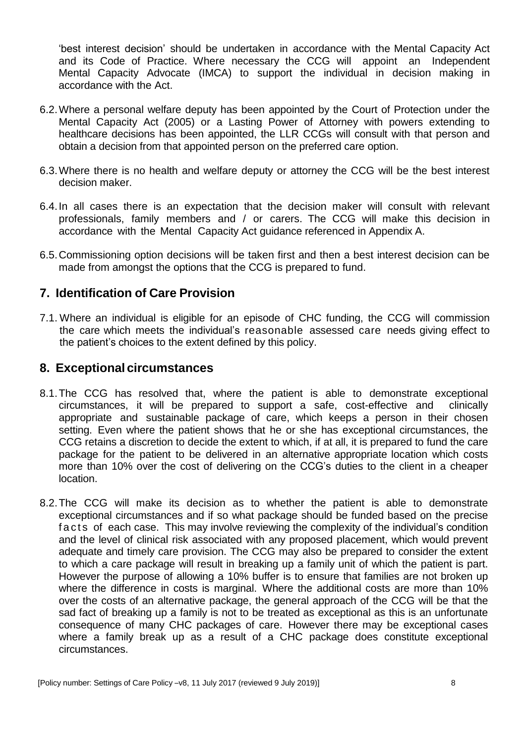'best interest decision' should be undertaken in accordance with the Mental Capacity Act and its Code of Practice. Where necessary the CCG will appoint an Independent Mental Capacity Advocate (IMCA) to support the individual in decision making in accordance with the Act.

- 6.2.Where a personal welfare deputy has been appointed by the Court of Protection under the Mental Capacity Act (2005) or a Lasting Power of Attorney with powers extending to healthcare decisions has been appointed, the LLR CCGs will consult with that person and obtain a decision from that appointed person on the preferred care option.
- 6.3.Where there is no health and welfare deputy or attorney the CCG will be the best interest decision maker.
- 6.4.In all cases there is an expectation that the decision maker will consult with relevant professionals, family members and / or carers. The CCG will make this decision in accordance with the Mental Capacity Act guidance referenced in Appendix A.
- 6.5.Commissioning option decisions will be taken first and then a best interest decision can be made from amongst the options that the CCG is prepared to fund.

#### <span id="page-7-0"></span>**7. Identification of Care Provision**

7.1. Where an individual is eligible for an episode of CHC funding, the CCG will commission the care which meets the individual's reasonable assessed care needs giving effect to the patient's choices to the extent defined by this policy.

#### <span id="page-7-1"></span>**8. Exceptional circumstances**

- 8.1.The CCG has resolved that, where the patient is able to demonstrate exceptional circumstances, it will be prepared to support a safe, cost-effective and clinically appropriate and sustainable package of care, which keeps a person in their chosen setting. Even where the patient shows that he or she has exceptional circumstances, the CCG retains a discretion to decide the extent to which, if at all, it is prepared to fund the care package for the patient to be delivered in an alternative appropriate location which costs more than 10% over the cost of delivering on the CCG's duties to the client in a cheaper location.
- 8.2.The CCG will make its decision as to whether the patient is able to demonstrate exceptional circumstances and if so what package should be funded based on the precise facts of each case. This may involve reviewing the complexity of the individual's condition and the level of clinical risk associated with any proposed placement, which would prevent adequate and timely care provision. The CCG may also be prepared to consider the extent to which a care package will result in breaking up a family unit of which the patient is part. However the purpose of allowing a 10% buffer is to ensure that families are not broken up where the difference in costs is marginal. Where the additional costs are more than 10% over the costs of an alternative package, the general approach of the CCG will be that the sad fact of breaking up a family is not to be treated as exceptional as this is an unfortunate consequence of many CHC packages of care. However there may be exceptional cases where a family break up as a result of a CHC package does constitute exceptional circumstances.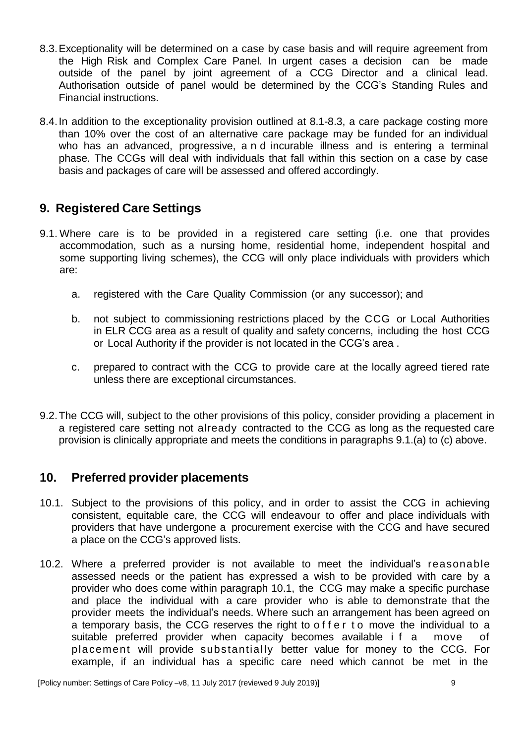- 8.3.Exceptionality will be determined on a case by case basis and will require agreement from the High Risk and Complex Care Panel. In urgent cases a decision can be made outside of the panel by joint agreement of a CCG Director and a clinical lead. Authorisation outside of panel would be determined by the CCG's Standing Rules and Financial instructions.
- 8.4.In addition to the exceptionality provision outlined at 8.1-8.3, a care package costing more than 10% over the cost of an alternative care package may be funded for an individual who has an advanced, progressive, a n d incurable illness and is entering a terminal phase. The CCGs will deal with individuals that fall within this section on a case by case basis and packages of care will be assessed and offered accordingly.

# <span id="page-8-0"></span>**9. Registered Care Settings**

- 9.1. Where care is to be provided in a registered care setting (i.e. one that provides accommodation, such as a nursing home, residential home, independent hospital and some supporting living schemes), the CCG will only place individuals with providers which are:
	- a. registered with the Care Quality Commission (or any successor); and
	- b. not subject to commissioning restrictions placed by the CCG or Local Authorities in ELR CCG area as a result of quality and safety concerns, including the host CCG or Local Authority if the provider is not located in the CCG's area .
	- c. prepared to contract with the CCG to provide care at the locally agreed tiered rate unless there are exceptional circumstances.
- 9.2.The CCG will, subject to the other provisions of this policy, consider providing a placement in a registered care setting not already contracted to the CCG as long as the requested care provision is clinically appropriate and meets the conditions in paragraphs 9.1.(a) to (c) above.

#### <span id="page-8-1"></span>**10. Preferred provider placements**

- 10.1. Subject to the provisions of this policy, and in order to assist the CCG in achieving consistent, equitable care, the CCG will endeavour to offer and place individuals with providers that have undergone a procurement exercise with the CCG and have secured a place on the CCG's approved lists.
- 10.2. Where a preferred provider is not available to meet the individual's reasonable assessed needs or the patient has expressed a wish to be provided with care by a provider who does come within paragraph 10.1, the CCG may make a specific purchase and place the individual with a care provider who is able to demonstrate that the provider meets the individual's needs. Where such an arrangement has been agreed on a temporary basis, the CCG reserves the right to offer to move the individual to a suitable preferred provider when capacity becomes available i f a move of placement will provide substantially better value for money to the CCG. For example, if an individual has a specific care need which cannot be met in the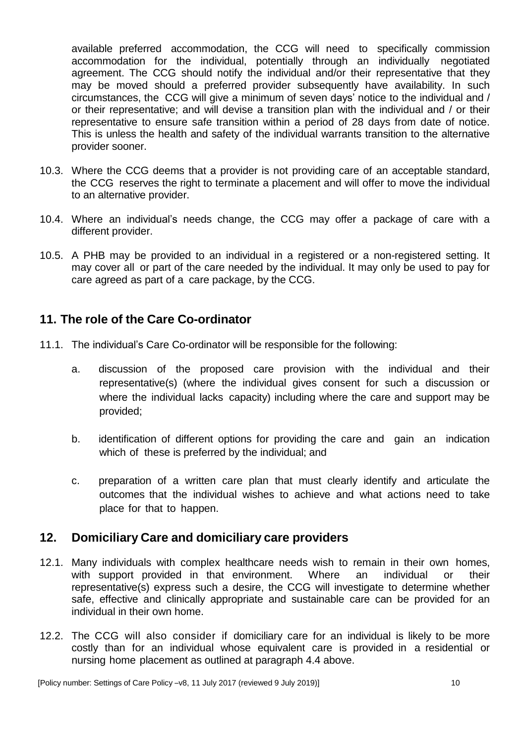available preferred accommodation, the CCG will need to specifically commission accommodation for the individual, potentially through an individually negotiated agreement. The CCG should notify the individual and/or their representative that they may be moved should a preferred provider subsequently have availability. In such circumstances, the CCG will give a minimum of seven days' notice to the individual and / or their representative; and will devise a transition plan with the individual and / or their representative to ensure safe transition within a period of 28 days from date of notice. This is unless the health and safety of the individual warrants transition to the alternative provider sooner.

- 10.3. Where the CCG deems that a provider is not providing care of an acceptable standard, the CCG reserves the right to terminate a placement and will offer to move the individual to an alternative provider.
- 10.4. Where an individual's needs change, the CCG may offer a package of care with a different provider.
- 10.5. A PHB may be provided to an individual in a registered or a non-registered setting. It may cover all or part of the care needed by the individual. It may only be used to pay for care agreed as part of a care package, by the CCG.

# <span id="page-9-0"></span>**11. The role of the Care Co-ordinator**

- 11.1. The individual's Care Co-ordinator will be responsible for the following:
	- a. discussion of the proposed care provision with the individual and their representative(s) (where the individual gives consent for such a discussion or where the individual lacks capacity) including where the care and support may be provided;
	- b. identification of different options for providing the care and gain an indication which of these is preferred by the individual; and
	- c. preparation of a written care plan that must clearly identify and articulate the outcomes that the individual wishes to achieve and what actions need to take place for that to happen.

#### <span id="page-9-1"></span>**12. Domiciliary Care and domiciliary care providers**

- 12.1. Many individuals with complex healthcare needs wish to remain in their own homes, with support provided in that environment. Where an individual or their representative(s) express such a desire, the CCG will investigate to determine whether safe, effective and clinically appropriate and sustainable care can be provided for an individual in their own home.
- 12.2. The CCG will also consider if domiciliary care for an individual is likely to be more costly than for an individual whose equivalent care is provided in a residential or nursing home placement as outlined at paragraph 4.4 above.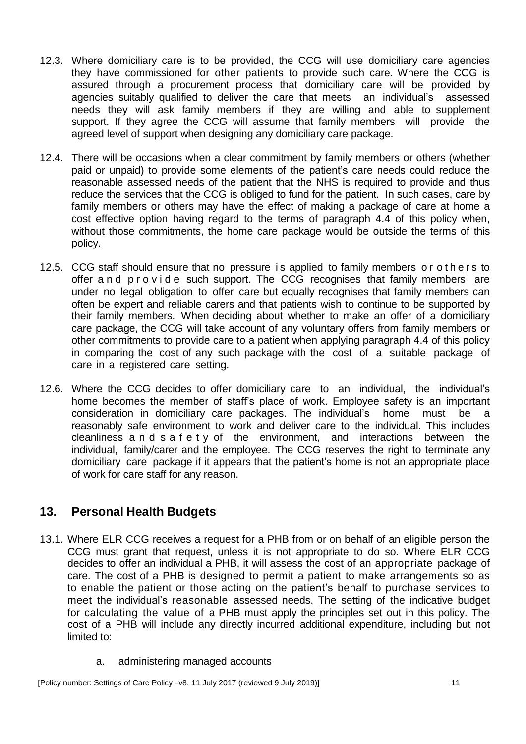- 12.3. Where domiciliary care is to be provided, the CCG will use domiciliary care agencies they have commissioned for other patients to provide such care. Where the CCG is assured through a procurement process that domiciliary care will be provided by agencies suitably qualified to deliver the care that meets an individual's assessed needs they will ask family members if they are willing and able to supplement support. If they agree the CCG will assume that family members will provide the agreed level of support when designing any domiciliary care package.
- 12.4. There will be occasions when a clear commitment by family members or others (whether paid or unpaid) to provide some elements of the patient's care needs could reduce the reasonable assessed needs of the patient that the NHS is required to provide and thus reduce the services that the CCG is obliged to fund for the patient. In such cases, care by family members or others may have the effect of making a package of care at home a cost effective option having regard to the terms of paragraph 4.4 of this policy when, without those commitments, the home care package would be outside the terms of this policy.
- 12.5. CCG staff should ensure that no pressure is applied to family members or others to offer a n d p r o v i d e such support. The CCG recognises that family members are under no legal obligation to offer care but equally recognises that family members can often be expert and reliable carers and that patients wish to continue to be supported by their family members. When deciding about whether to make an offer of a domiciliary care package, the CCG will take account of any voluntary offers from family members or other commitments to provide care to a patient when applying paragraph 4.4 of this policy in comparing the cost of any such package with the cost of a suitable package of care in a registered care setting.
- 12.6. Where the CCG decides to offer domiciliary care to an individual, the individual's home becomes the member of staff's place of work. Employee safety is an important consideration in domiciliary care packages. The individual's home must be a reasonably safe environment to work and deliver care to the individual. This includes cleanliness a n d s a f e t y of the environment, and interactions between the individual, family/carer and the employee. The CCG reserves the right to terminate any domiciliary care package if it appears that the patient's home is not an appropriate place of work for care staff for any reason.

# <span id="page-10-0"></span>**13. Personal Health Budgets**

- 13.1. Where ELR CCG receives a request for a PHB from or on behalf of an eligible person the CCG must grant that request, unless it is not appropriate to do so. Where ELR CCG decides to offer an individual a PHB, it will assess the cost of an appropriate package of care. The cost of a PHB is designed to permit a patient to make arrangements so as to enable the patient or those acting on the patient's behalf to purchase services to meet the individual's reasonable assessed needs. The setting of the indicative budget for calculating the value of a PHB must apply the principles set out in this policy. The cost of a PHB will include any directly incurred additional expenditure, including but not limited to:
	- a. administering managed accounts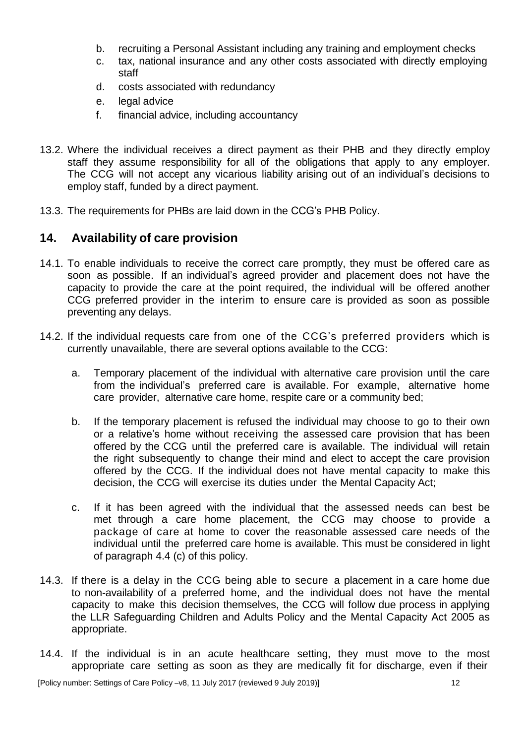- b. recruiting a Personal Assistant including any training and employment checks
- c. tax, national insurance and any other costs associated with directly employing staff
- d. costs associated with redundancy
- e. legal advice
- f. financial advice, including accountancy
- 13.2. Where the individual receives a direct payment as their PHB and they directly employ staff they assume responsibility for all of the obligations that apply to any employer. The CCG will not accept any vicarious liability arising out of an individual's decisions to employ staff, funded by a direct payment.
- 13.3. The requirements for PHBs are laid down in the CCG's PHB Policy.

#### <span id="page-11-0"></span>**14. Availability of care provision**

- 14.1. To enable individuals to receive the correct care promptly, they must be offered care as soon as possible. If an individual's agreed provider and placement does not have the capacity to provide the care at the point required, the individual will be offered another CCG preferred provider in the interim to ensure care is provided as soon as possible preventing any delays.
- 14.2. If the individual requests care from one of the CCG's preferred providers which is currently unavailable, there are several options available to the CCG:
	- a. Temporary placement of the individual with alternative care provision until the care from the individual's preferred care is available. For example, alternative home care provider, alternative care home, respite care or a community bed;
	- b. If the temporary placement is refused the individual may choose to go to their own or a relative's home without receiving the assessed care provision that has been offered by the CCG until the preferred care is available. The individual will retain the right subsequently to change their mind and elect to accept the care provision offered by the CCG. If the individual does not have mental capacity to make this decision, the CCG will exercise its duties under the Mental Capacity Act;
	- c. If it has been agreed with the individual that the assessed needs can best be met through a care home placement, the CCG may choose to provide a package of care at home to cover the reasonable assessed care needs of the individual until the preferred care home is available. This must be considered in light of paragraph 4.4 (c) of this policy.
- 14.3. If there is a delay in the CCG being able to secure a placement in a care home due to non-availability of a preferred home, and the individual does not have the mental capacity to make this decision themselves, the CCG will follow due process in applying the LLR Safeguarding Children and Adults Policy and the Mental Capacity Act 2005 as appropriate.
- 14.4. If the individual is in an acute healthcare setting, they must move to the most appropriate care setting as soon as they are medically fit for discharge, even if their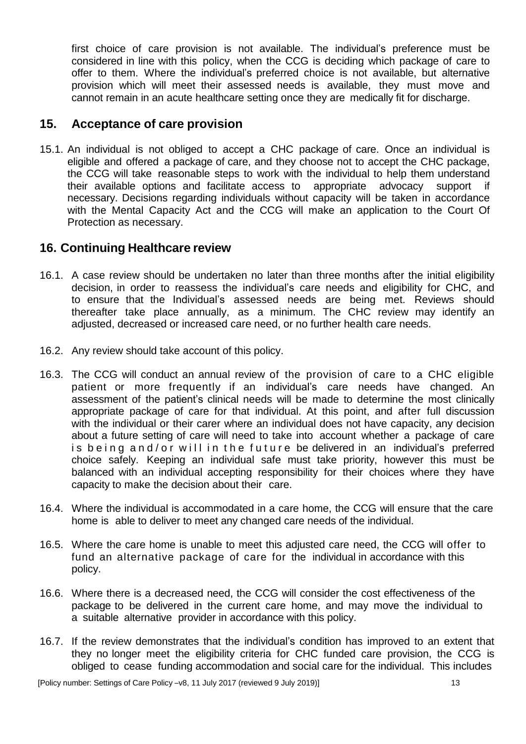first choice of care provision is not available. The individual's preference must be considered in line with this policy, when the CCG is deciding which package of care to offer to them. Where the individual's preferred choice is not available, but alternative provision which will meet their assessed needs is available, they must move and cannot remain in an acute healthcare setting once they are medically fit for discharge.

# <span id="page-12-0"></span>**15. Acceptance of care provision**

15.1. An individual is not obliged to accept a CHC package of care. Once an individual is eligible and offered a package of care, and they choose not to accept the CHC package, the CCG will take reasonable steps to work with the individual to help them understand their available options and facilitate access to appropriate advocacy support if necessary. Decisions regarding individuals without capacity will be taken in accordance with the Mental Capacity Act and the CCG will make an application to the Court Of Protection as necessary.

# <span id="page-12-1"></span>**16. Continuing Healthcare review**

- 16.1. A case review should be undertaken no later than three months after the initial eligibility decision, in order to reassess the individual's care needs and eligibility for CHC, and to ensure that the Individual's assessed needs are being met. Reviews should thereafter take place annually, as a minimum. The CHC review may identify an adjusted, decreased or increased care need, or no further health care needs.
- 16.2. Any review should take account of this policy.
- 16.3. The CCG will conduct an annual review of the provision of care to a CHC eligible patient or more frequently if an individual's care needs have changed. An assessment of the patient's clinical needs will be made to determine the most clinically appropriate package of care for that individual. At this point, and after full discussion with the individual or their carer where an individual does not have capacity, any decision about a future setting of care will need to take into account whether a package of care is being and/or will in the future be delivered in an individual's preferred choice safely. Keeping an individual safe must take priority, however this must be balanced with an individual accepting responsibility for their choices where they have capacity to make the decision about their care.
- 16.4. Where the individual is accommodated in a care home, the CCG will ensure that the care home is able to deliver to meet any changed care needs of the individual.
- 16.5. Where the care home is unable to meet this adjusted care need, the CCG will offer to fund an alternative package of care for the individual in accordance with this policy.
- 16.6. Where there is a decreased need, the CCG will consider the cost effectiveness of the package to be delivered in the current care home, and may move the individual to a suitable alternative provider in accordance with this policy.
- 16.7. If the review demonstrates that the individual's condition has improved to an extent that they no longer meet the eligibility criteria for CHC funded care provision, the CCG is obliged to cease funding accommodation and social care for the individual. This includes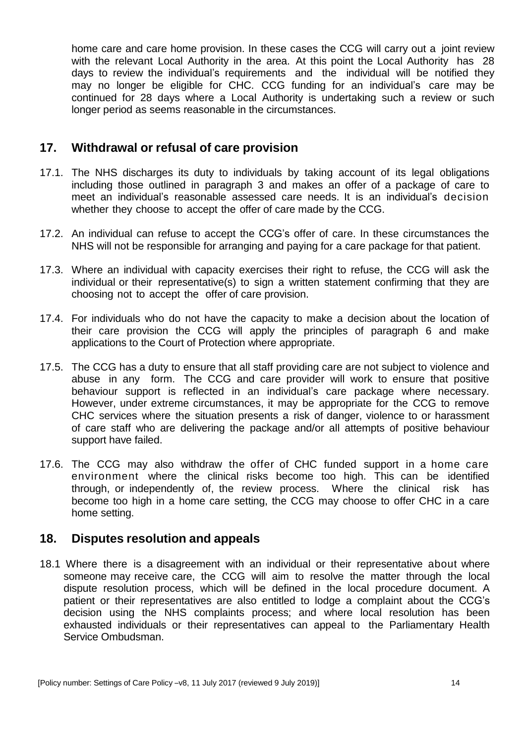home care and care home provision. In these cases the CCG will carry out a joint review with the relevant Local Authority in the area. At this point the Local Authority has 28 days to review the individual's requirements and the individual will be notified they may no longer be eligible for CHC. CCG funding for an individual's care may be continued for 28 days where a Local Authority is undertaking such a review or such longer period as seems reasonable in the circumstances.

### <span id="page-13-0"></span>**17. Withdrawal or refusal of care provision**

- 17.1. The NHS discharges its duty to individuals by taking account of its legal obligations including those outlined in paragraph 3 and makes an offer of a package of care to meet an individual's reasonable assessed care needs. It is an individual's decision whether they choose to accept the offer of care made by the CCG.
- 17.2. An individual can refuse to accept the CCG's offer of care. In these circumstances the NHS will not be responsible for arranging and paying for a care package for that patient.
- 17.3. Where an individual with capacity exercises their right to refuse, the CCG will ask the individual or their representative(s) to sign a written statement confirming that they are choosing not to accept the offer of care provision.
- 17.4. For individuals who do not have the capacity to make a decision about the location of their care provision the CCG will apply the principles of paragraph 6 and make applications to the Court of Protection where appropriate.
- 17.5. The CCG has a duty to ensure that all staff providing care are not subject to violence and abuse in any form. The CCG and care provider will work to ensure that positive behaviour support is reflected in an individual's care package where necessary. However, under extreme circumstances, it may be appropriate for the CCG to remove CHC services where the situation presents a risk of danger, violence to or harassment of care staff who are delivering the package and/or all attempts of positive behaviour support have failed.
- 17.6. The CCG may also withdraw the offer of CHC funded support in a home care environment where the clinical risks become too high. This can be identified through, or independently of, the review process. Where the clinical risk has become too high in a home care setting, the CCG may choose to offer CHC in a care home setting.

#### <span id="page-13-1"></span>**18. Disputes resolution and appeals**

18.1 Where there is a disagreement with an individual or their representative about where someone may receive care, the CCG will aim to resolve the matter through the local dispute resolution process, which will be defined in the local procedure document. A patient or their representatives are also entitled to lodge a complaint about the CCG's decision using the NHS complaints process; and where local resolution has been exhausted individuals or their representatives can appeal to the Parliamentary Health Service Ombudsman.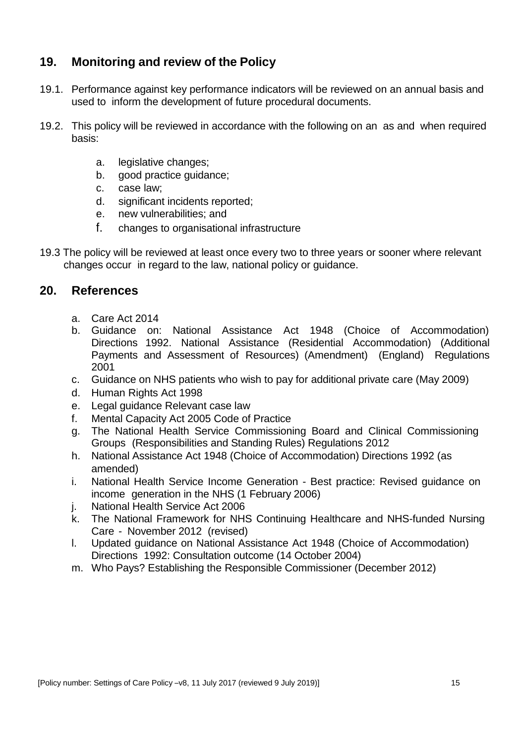# <span id="page-14-0"></span>**19. Monitoring and review of the Policy**

- 19.1. Performance against key performance indicators will be reviewed on an annual basis and used to inform the development of future procedural documents.
- 19.2. This policy will be reviewed in accordance with the following on an as and when required basis:
	- a. legislative changes;
	- b. good practice guidance;
	- c. case law;
	- d. significant incidents reported;
	- e. new vulnerabilities; and
	- f. changes to organisational infrastructure
- 19.3 The policy will be reviewed at least once every two to three years or sooner where relevant changes occur in regard to the law, national policy or guidance.

#### <span id="page-14-1"></span>**20. References**

- a. Care Act 2014
- b. Guidance on: National Assistance Act 1948 (Choice of Accommodation) Directions 1992. National Assistance (Residential Accommodation) (Additional Payments and Assessment of Resources) (Amendment) (England) Regulations 2001
- c. Guidance on NHS patients who wish to pay for additional private care (May 2009)
- d. Human Rights Act 1998
- e. Legal guidance Relevant case law
- f. Mental Capacity Act 2005 Code of Practice
- g. The National Health Service Commissioning Board and Clinical Commissioning Groups (Responsibilities and Standing Rules) Regulations 2012
- h. National Assistance Act 1948 (Choice of Accommodation) Directions 1992 (as amended)
- i. National Health Service Income Generation Best practice: Revised guidance on income generation in the NHS (1 February 2006)
- j. National Health Service Act 2006
- k. The National Framework for NHS Continuing Healthcare and NHS-funded Nursing Care - November 2012 (revised)
- l. Updated guidance on National Assistance Act 1948 (Choice of Accommodation) Directions 1992: Consultation outcome (14 October 2004)
- m. Who Pays? Establishing the Responsible Commissioner (December 2012)